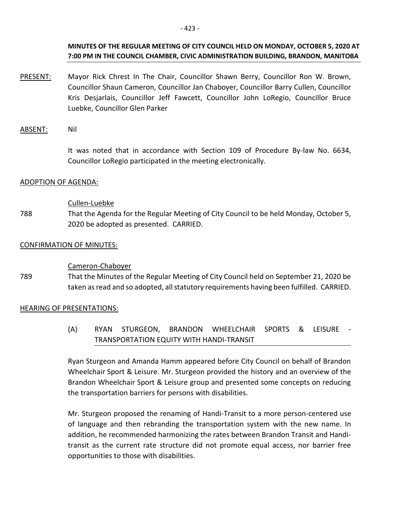PRESENT: Mayor Rick Chrest In The Chair, Councillor Shawn Berry, Councillor Ron W. Brown, Councillor Shaun Cameron, Councillor Jan Chaboyer, Councillor Barry Cullen, Councillor Kris Desjarlais, Councillor Jeff Fawcett, Councillor John LoRegio, Councillor Bruce Luebke, Councillor Glen Parker

# ABSENT: Nil

It was noted that in accordance with Section 109 of Procedure By-law No. 6634, Councillor LoRegio participated in the meeting electronically.

### ADOPTION OF AGENDA:

### Cullen-Luebke

788 That the Agenda for the Regular Meeting of City Council to be held Monday, October 5, 2020 be adopted as presented. CARRIED.

# CONFIRMATION OF MINUTES:

### Cameron-Chaboyer

789 That the Minutes of the Regular Meeting of City Council held on September 21, 2020 be taken as read and so adopted, all statutory requirements having been fulfilled. CARRIED.

#### HEARING OF PRESENTATIONS:

(A) RYAN STURGEON, BRANDON WHEELCHAIR SPORTS & LEISURE - TRANSPORTATION EQUITY WITH HANDI-TRANSIT

Ryan Sturgeon and Amanda Hamm appeared before City Council on behalf of Brandon Wheelchair Sport & Leisure. Mr. Sturgeon provided the history and an overview of the Brandon Wheelchair Sport & Leisure group and presented some concepts on reducing the transportation barriers for persons with disabilities.

Mr. Sturgeon proposed the renaming of Handi-Transit to a more person-centered use of language and then rebranding the transportation system with the new name. In addition, he recommended harmonizing the rates between Brandon Transit and Handitransit as the current rate structure did not promote equal access, nor barrier free opportunities to those with disabilities.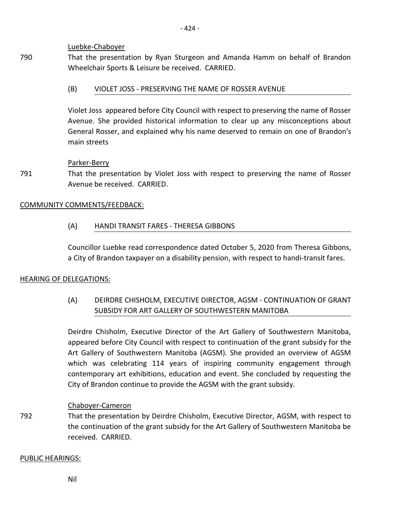# Luebke-Chaboyer

790 That the presentation by Ryan Sturgeon and Amanda Hamm on behalf of Brandon Wheelchair Sports & Leisure be received. CARRIED.

# (B) VIOLET JOSS - PRESERVING THE NAME OF ROSSER AVENUE

Violet Joss appeared before City Council with respect to preserving the name of Rosser Avenue. She provided historical information to clear up any misconceptions about General Rosser, and explained why his name deserved to remain on one of Brandon's main streets

# Parker-Berry

791 That the presentation by Violet Joss with respect to preserving the name of Rosser Avenue be received. CARRIED.

# COMMUNITY COMMENTS/FEEDBACK:

(A) HANDI TRANSIT FARES - THERESA GIBBONS

Councillor Luebke read correspondence dated October 5, 2020 from Theresa Gibbons, a City of Brandon taxpayer on a disability pension, with respect to handi-transit fares.

# HEARING OF DELEGATIONS:

(A) DEIRDRE CHISHOLM, EXECUTIVE DIRECTOR, AGSM - CONTINUATION OF GRANT SUBSIDY FOR ART GALLERY OF SOUTHWESTERN MANITOBA

Deirdre Chisholm, Executive Director of the Art Gallery of Southwestern Manitoba, appeared before City Council with respect to continuation of the grant subsidy for the Art Gallery of Southwestern Manitoba (AGSM). She provided an overview of AGSM which was celebrating 114 years of inspiring community engagement through contemporary art exhibitions, education and event. She concluded by requesting the City of Brandon continue to provide the AGSM with the grant subsidy.

# Chaboyer-Cameron

792 That the presentation by Deirdre Chisholm, Executive Director, AGSM, with respect to the continuation of the grant subsidy for the Art Gallery of Southwestern Manitoba be received. CARRIED.

# PUBLIC HEARINGS:

Nil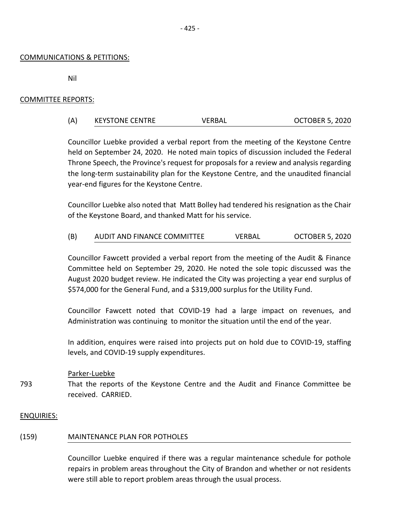# COMMUNICATIONS & PETITIONS:

Nil

# COMMITTEE REPORTS:

| (A) | <b>KEYSTONE CENTRE</b> | VERBAL | <b>OCTOBER 5, 2020</b> |
|-----|------------------------|--------|------------------------|
|     |                        |        |                        |

Councillor Luebke provided a verbal report from the meeting of the Keystone Centre held on September 24, 2020. He noted main topics of discussion included the Federal Throne Speech, the Province's request for proposals for a review and analysis regarding the long-term sustainability plan for the Keystone Centre, and the unaudited financial year-end figures for the Keystone Centre.

Councillor Luebke also noted that Matt Bolley had tendered his resignation as the Chair of the Keystone Board, and thanked Matt for his service.

| (B) | AUDIT AND FINANCE COMMITTEE | VERBAL | <b>OCTOBER 5, 2020</b> |
|-----|-----------------------------|--------|------------------------|
|     |                             |        |                        |

Councillor Fawcett provided a verbal report from the meeting of the Audit & Finance Committee held on September 29, 2020. He noted the sole topic discussed was the August 2020 budget review. He indicated the City was projecting a year end surplus of \$574,000 for the General Fund, and a \$319,000 surplus for the Utility Fund.

Councillor Fawcett noted that COVID-19 had a large impact on revenues, and Administration was continuing to monitor the situation until the end of the year.

In addition, enquires were raised into projects put on hold due to COVID-19, staffing levels, and COVID-19 supply expenditures.

# Parker-Luebke

793 That the reports of the Keystone Centre and the Audit and Finance Committee be received. CARRIED.

# ENQUIRIES:

# (159) MAINTENANCE PLAN FOR POTHOLES

Councillor Luebke enquired if there was a regular maintenance schedule for pothole repairs in problem areas throughout the City of Brandon and whether or not residents were still able to report problem areas through the usual process.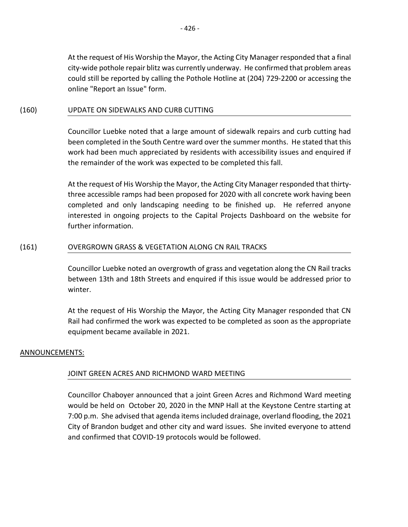At the request of His Worship the Mayor, the Acting City Manager responded that a final city-wide pothole repair blitz was currently underway. He confirmed that problem areas could still be reported by calling the Pothole Hotline at (204) 729-2200 or accessing the online "Report an Issue" form.

# (160) UPDATE ON SIDEWALKS AND CURB CUTTING

Councillor Luebke noted that a large amount of sidewalk repairs and curb cutting had been completed in the South Centre ward over the summer months. He stated that this work had been much appreciated by residents with accessibility issues and enquired if the remainder of the work was expected to be completed this fall.

At the request of His Worship the Mayor, the Acting City Manager responded that thirtythree accessible ramps had been proposed for 2020 with all concrete work having been completed and only landscaping needing to be finished up. He referred anyone interested in ongoing projects to the Capital Projects Dashboard on the website for further information.

# (161) OVERGROWN GRASS & VEGETATION ALONG CN RAIL TRACKS

Councillor Luebke noted an overgrowth of grass and vegetation along the CN Rail tracks between 13th and 18th Streets and enquired if this issue would be addressed prior to winter.

At the request of His Worship the Mayor, the Acting City Manager responded that CN Rail had confirmed the work was expected to be completed as soon as the appropriate equipment became available in 2021.

# ANNOUNCEMENTS:

# JOINT GREEN ACRES AND RICHMOND WARD MEETING

Councillor Chaboyer announced that a joint Green Acres and Richmond Ward meeting would be held on October 20, 2020 in the MNP Hall at the Keystone Centre starting at 7:00 p.m. She advised that agenda items included drainage, overland flooding, the 2021 City of Brandon budget and other city and ward issues. She invited everyone to attend and confirmed that COVID-19 protocols would be followed.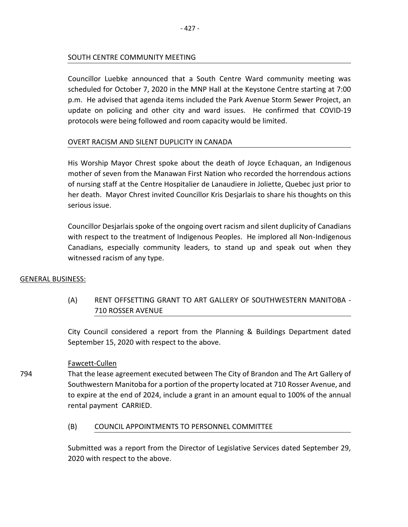### SOUTH CENTRE COMMUNITY MEETING

Councillor Luebke announced that a South Centre Ward community meeting was scheduled for October 7, 2020 in the MNP Hall at the Keystone Centre starting at 7:00 p.m. He advised that agenda items included the Park Avenue Storm Sewer Project, an update on policing and other city and ward issues. He confirmed that COVID-19 protocols were being followed and room capacity would be limited.

### OVERT RACISM AND SILENT DUPLICITY IN CANADA

His Worship Mayor Chrest spoke about the death of Joyce Echaquan, an Indigenous mother of seven from the Manawan First Nation who recorded the horrendous actions of nursing staff at the Centre Hospitalier de Lanaudiere in Joliette, Quebec just prior to her death. Mayor Chrest invited Councillor Kris Desjarlais to share his thoughts on this serious issue.

Councillor Desjarlais spoke of the ongoing overt racism and silent duplicity of Canadians with respect to the treatment of Indigenous Peoples. He implored all Non-Indigenous Canadians, especially community leaders, to stand up and speak out when they witnessed racism of any type.

#### GENERAL BUSINESS:

794

(A) RENT OFFSETTING GRANT TO ART GALLERY OF SOUTHWESTERN MANITOBA - 710 ROSSER AVENUE

City Council considered a report from the Planning & Buildings Department dated September 15, 2020 with respect to the above.

#### Fawcett-Cullen

That the lease agreement executed between The City of Brandon and The Art Gallery of Southwestern Manitoba for a portion of the property located at 710 Rosser Avenue, and to expire at the end of 2024, include a grant in an amount equal to 100% of the annual rental payment CARRIED.

# (B) COUNCIL APPOINTMENTS TO PERSONNEL COMMITTEE

Submitted was a report from the Director of Legislative Services dated September 29, 2020 with respect to the above.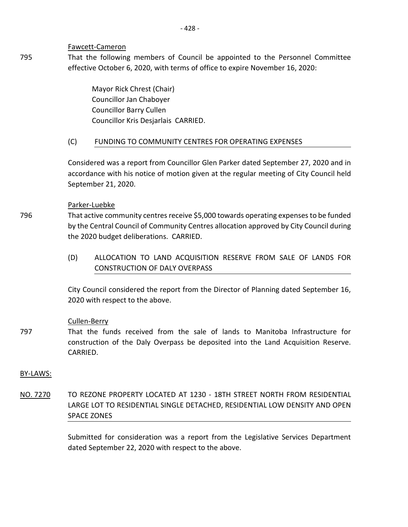#### Fawcett-Cameron

795 That the following members of Council be appointed to the Personnel Committee effective October 6, 2020, with terms of office to expire November 16, 2020:

> Mayor Rick Chrest (Chair) Councillor Jan Chaboyer Councillor Barry Cullen Councillor Kris Desjarlais CARRIED.

# (C) FUNDING TO COMMUNITY CENTRES FOR OPERATING EXPENSES

Considered was a report from Councillor Glen Parker dated September 27, 2020 and in accordance with his notice of motion given at the regular meeting of City Council held September 21, 2020.

### Parker-Luebke

That active community centres receive \$5,000 towards operating expenses to be funded by the Central Council of Community Centres allocation approved by City Council during the 2020 budget deliberations. CARRIED.

(D) ALLOCATION TO LAND ACQUISITION RESERVE FROM SALE OF LANDS FOR CONSTRUCTION OF DALY OVERPASS

City Council considered the report from the Director of Planning dated September 16, 2020 with respect to the above.

# Cullen-Berry

797 That the funds received from the sale of lands to Manitoba Infrastructure for construction of the Daly Overpass be deposited into the Land Acquisition Reserve. CARRIED.

#### BY-LAWS:

796

NO. 7270 TO REZONE PROPERTY LOCATED AT 1230 - 18TH STREET NORTH FROM RESIDENTIAL LARGE LOT TO RESIDENTIAL SINGLE DETACHED, RESIDENTIAL LOW DENSITY AND OPEN SPACE ZONES

> Submitted for consideration was a report from the Legislative Services Department dated September 22, 2020 with respect to the above.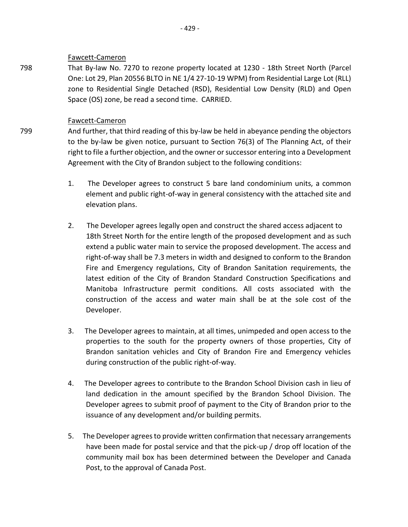### Fawcett-Cameron

798 That By-law No. 7270 to rezone property located at 1230 - 18th Street North (Parcel One: Lot 29, Plan 20556 BLTO in NE 1/4 27-10-19 WPM) from Residential Large Lot (RLL) zone to Residential Single Detached (RSD), Residential Low Density (RLD) and Open Space (OS) zone, be read a second time. CARRIED.

# Fawcett-Cameron

799

And further, that third reading of this by-law be held in abeyance pending the objectors to the by-law be given notice, pursuant to Section 76(3) of The Planning Act, of their right to file a further objection, and the owner or successor entering into a Development Agreement with the City of Brandon subject to the following conditions:

- 1. The Developer agrees to construct 5 bare land condominium units, a common element and public right-of-way in general consistency with the attached site and elevation plans.
- 2. The Developer agrees legally open and construct the shared access adjacent to 18th Street North for the entire length of the proposed development and as such extend a public water main to service the proposed development. The access and right-of-way shall be 7.3 meters in width and designed to conform to the Brandon Fire and Emergency regulations, City of Brandon Sanitation requirements, the latest edition of the City of Brandon Standard Construction Specifications and Manitoba Infrastructure permit conditions. All costs associated with the construction of the access and water main shall be at the sole cost of the Developer.
- 3. The Developer agrees to maintain, at all times, unimpeded and open access to the properties to the south for the property owners of those properties, City of Brandon sanitation vehicles and City of Brandon Fire and Emergency vehicles during construction of the public right-of-way.
- 4. The Developer agrees to contribute to the Brandon School Division cash in lieu of land dedication in the amount specified by the Brandon School Division. The Developer agrees to submit proof of payment to the City of Brandon prior to the issuance of any development and/or building permits.
- 5. The Developer agrees to provide written confirmation that necessary arrangements have been made for postal service and that the pick-up / drop off location of the community mail box has been determined between the Developer and Canada Post, to the approval of Canada Post.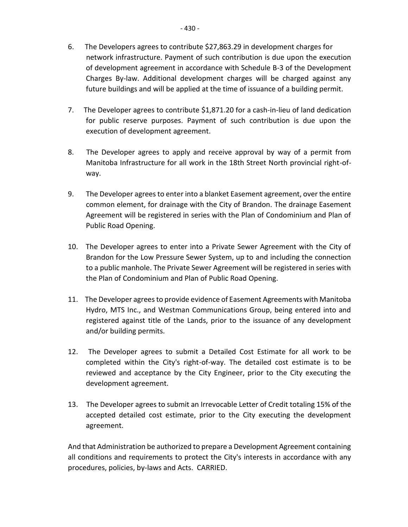- 6. The Developers agrees to contribute \$27,863.29 in development charges for network infrastructure. Payment of such contribution is due upon the execution of development agreement in accordance with Schedule B-3 of the Development Charges By-law. Additional development charges will be charged against any future buildings and will be applied at the time of issuance of a building permit.
- 7. The Developer agrees to contribute \$1,871.20 for a cash-in-lieu of land dedication for public reserve purposes. Payment of such contribution is due upon the execution of development agreement.
- 8. The Developer agrees to apply and receive approval by way of a permit from Manitoba Infrastructure for all work in the 18th Street North provincial right-ofway.
- 9. The Developer agrees to enter into a blanket Easement agreement, over the entire common element, for drainage with the City of Brandon. The drainage Easement Agreement will be registered in series with the Plan of Condominium and Plan of Public Road Opening.
- 10. The Developer agrees to enter into a Private Sewer Agreement with the City of Brandon for the Low Pressure Sewer System, up to and including the connection to a public manhole. The Private Sewer Agreement will be registered in series with the Plan of Condominium and Plan of Public Road Opening.
- 11. The Developer agrees to provide evidence of Easement Agreements with Manitoba Hydro, MTS Inc., and Westman Communications Group, being entered into and registered against title of the Lands, prior to the issuance of any development and/or building permits.
- 12. The Developer agrees to submit a Detailed Cost Estimate for all work to be completed within the City's right-of-way. The detailed cost estimate is to be reviewed and acceptance by the City Engineer, prior to the City executing the development agreement.
- 13. The Developer agrees to submit an Irrevocable Letter of Credit totaling 15% of the accepted detailed cost estimate, prior to the City executing the development agreement.

And that Administration be authorized to prepare a Development Agreement containing all conditions and requirements to protect the City's interests in accordance with any procedures, policies, by-laws and Acts. CARRIED.